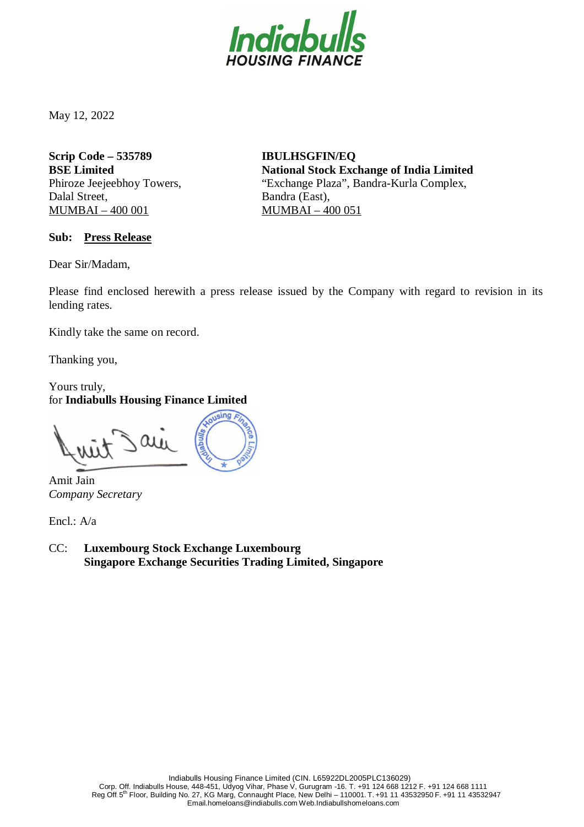

May 12, 2022

**Scrip Code – 535789 BSE Limited** Phiroze Jeejeebhoy Towers, Dalal Street, MUMBAI – 400 001

**IBULHSGFIN/EQ National Stock Exchange of India Limited** "Exchange Plaza", Bandra-Kurla Complex, Bandra (East), MUMBAI – 400 051

**Sub: Press Release**

Dear Sir/Madam,

Please find enclosed herewith a press release issued by the Company with regard to revision in its lending rates.

Kindly take the same on record.

Thanking you,

Yours truly, for **Indiabulls Housing Finance Limited**

Amit Jain *Company Secretary*

Encl.: A/a

CC: **Luxembourg Stock Exchange Luxembourg Singapore Exchange Securities Trading Limited, Singapore**